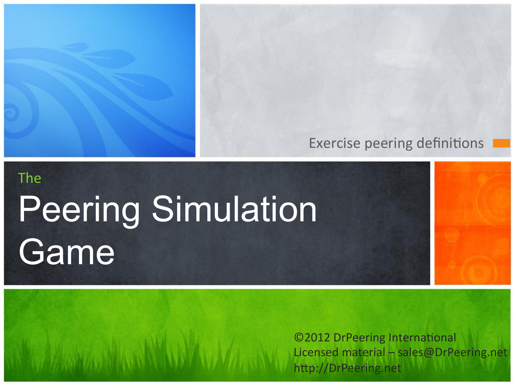#### Exercise peering definitions

# The Peering Simulation **Game**

©2012 DrPeering International Licensed material - sales@DrPeering.net http://DrPeering.net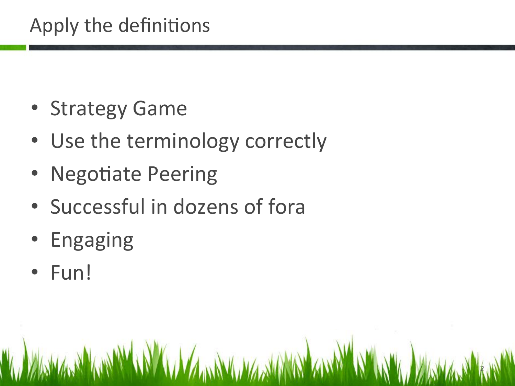### Apply the definitions

- Strategy Game
- Use the terminology correctly
- Negotiate Peering
- Successful in dozens of fora

2 

- Engaging
- Fun!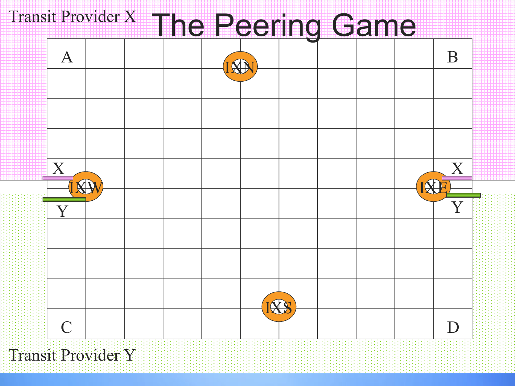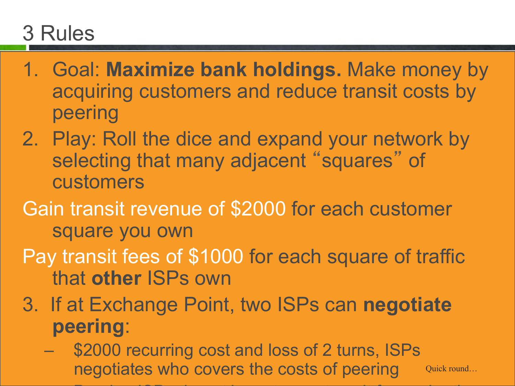## 3 Rules

- 1. Goal: **Maximize bank holdings.** Make money by acquiring customers and reduce transit costs by peering
- 2. Play: Roll the dice and expand your network by selecting that many adjacent "squares" of customers
- Gain transit revenue of \$2000 for each customer square you own
- Pay transit fees of \$1000 for each square of traffic that **other** ISPs own
- 3. If at Exchange Point, two ISPs can **negotiate peering**:
	- \$2000 recurring cost and loss of 2 turns, ISPs negotiates who covers the costs of peering

– Peering ISPs do not have to pay transit for each others

Quick round…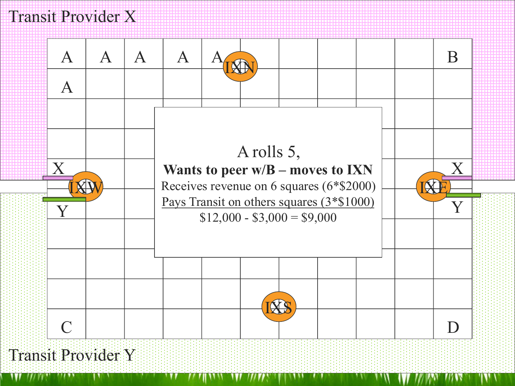

Transit Provider Y

w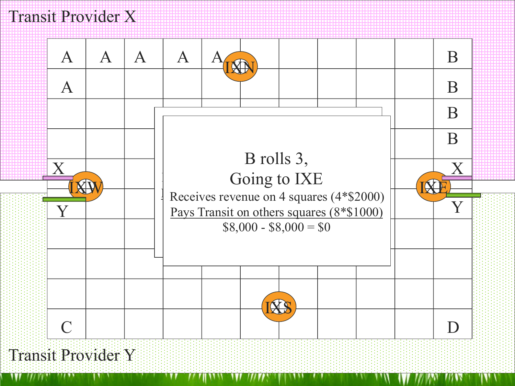

#### Transit Provider Y

WI 777 FI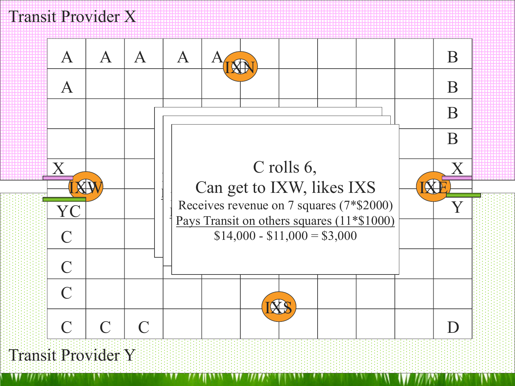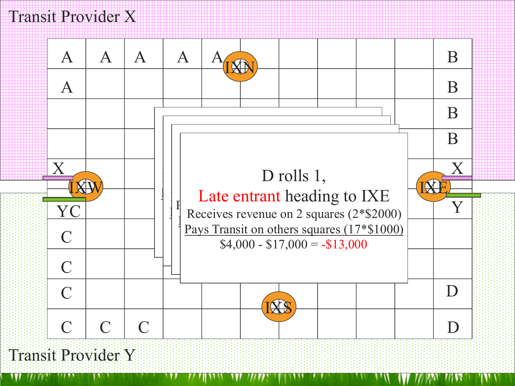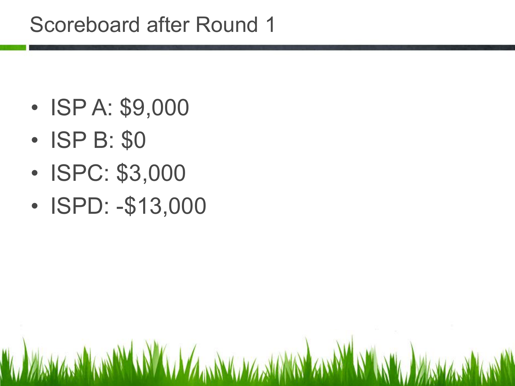- ISP A: \$9,000
- ISP B: \$0
- ISPC: \$3,000
- ISPD: -\$13,000

A WARM WANT WAS ARRESTED AND MALLA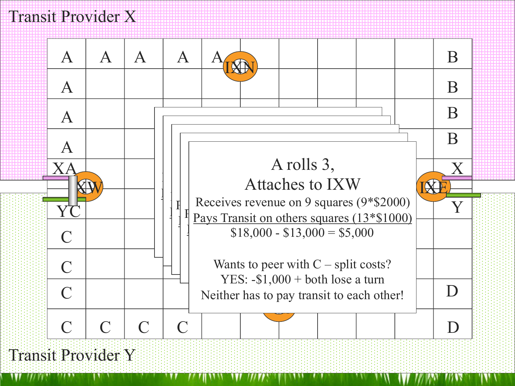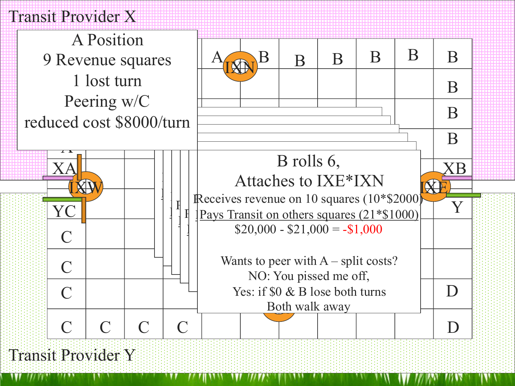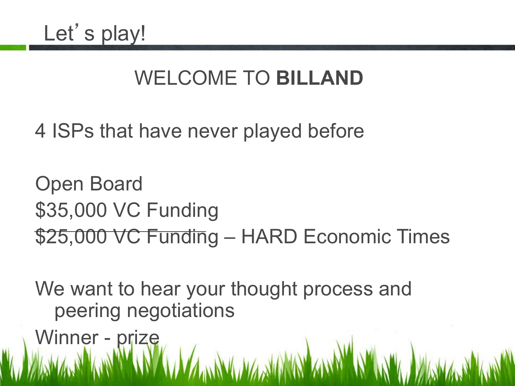### WELCOME TO **BILLAND**

4 ISPs that have never played before

Open Board \$35,000 VC Funding \$25,000 VC Funding – HARD Economic Times

We want to hear your thought process and peering negotiations

Winner - prize